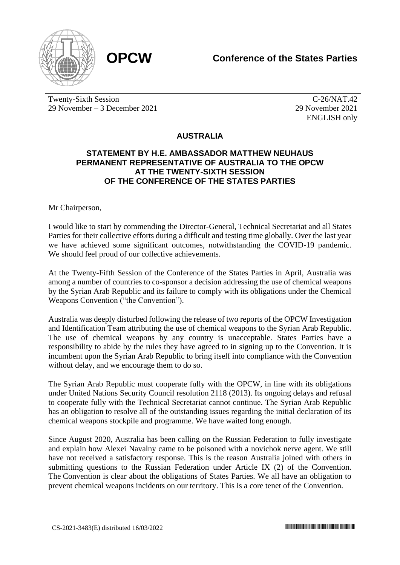

Twenty-Sixth Session 29 November – 3 December 2021

C-26/NAT.42 29 November 2021 ENGLISH only

## **AUSTRALIA**

## **STATEMENT BY H.E. AMBASSADOR MATTHEW NEUHAUS PERMANENT REPRESENTATIVE OF AUSTRALIA TO THE OPCW AT THE TWENTY-SIXTH SESSION OF THE CONFERENCE OF THE STATES PARTIES**

Mr Chairperson,

I would like to start by commending the Director-General, Technical Secretariat and all States Parties for their collective efforts during a difficult and testing time globally. Over the last year we have achieved some significant outcomes, notwithstanding the COVID-19 pandemic. We should feel proud of our collective achievements.

At the Twenty-Fifth Session of the Conference of the States Parties in April, Australia was among a number of countries to co-sponsor a decision addressing the use of chemical weapons by the Syrian Arab Republic and its failure to comply with its obligations under the Chemical Weapons Convention ("the Convention").

Australia was deeply disturbed following the release of two reports of the OPCW Investigation and Identification Team attributing the use of chemical weapons to the Syrian Arab Republic. The use of chemical weapons by any country is unacceptable. States Parties have a responsibility to abide by the rules they have agreed to in signing up to the Convention. It is incumbent upon the Syrian Arab Republic to bring itself into compliance with the Convention without delay, and we encourage them to do so.

The Syrian Arab Republic must cooperate fully with the OPCW, in line with its obligations under United Nations Security Council resolution 2118 (2013). Its ongoing delays and refusal to cooperate fully with the Technical Secretariat cannot continue. The Syrian Arab Republic has an obligation to resolve all of the outstanding issues regarding the initial declaration of its chemical weapons stockpile and programme. We have waited long enough.

Since August 2020, Australia has been calling on the Russian Federation to fully investigate and explain how Alexei Navalny came to be poisoned with a novichok nerve agent. We still have not received a satisfactory response. This is the reason Australia joined with others in submitting questions to the Russian Federation under Article IX (2) of the Convention. The Convention is clear about the obligations of States Parties. We all have an obligation to prevent chemical weapons incidents on our territory. This is a core tenet of the Convention.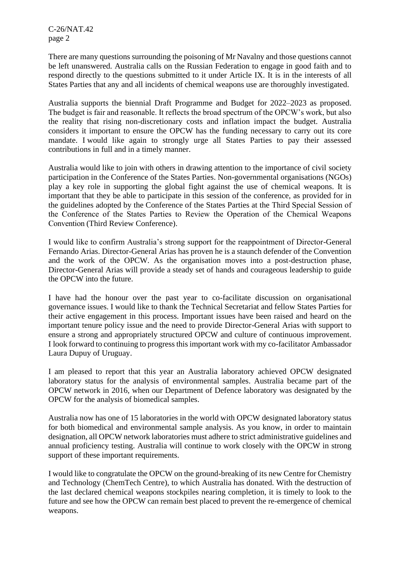C-26/NAT.42 page 2

There are many questions surrounding the poisoning of Mr Navalny and those questions cannot be left unanswered. Australia calls on the Russian Federation to engage in good faith and to respond directly to the questions submitted to it under Article IX. It is in the interests of all States Parties that any and all incidents of chemical weapons use are thoroughly investigated.

Australia supports the biennial Draft Programme and Budget for 2022–2023 as proposed. The budget is fair and reasonable. It reflects the broad spectrum of the OPCW's work, but also the reality that rising non-discretionary costs and inflation impact the budget. Australia considers it important to ensure the OPCW has the funding necessary to carry out its core mandate. I would like again to strongly urge all States Parties to pay their assessed contributions in full and in a timely manner.

Australia would like to join with others in drawing attention to the importance of civil society participation in the Conference of the States Parties. Non-governmental organisations (NGOs) play a key role in supporting the global fight against the use of chemical weapons. It is important that they be able to participate in this session of the conference, as provided for in the guidelines adopted by the Conference of the States Parties at the Third Special Session of the Conference of the States Parties to Review the Operation of the Chemical Weapons Convention (Third Review Conference).

I would like to confirm Australia's strong support for the reappointment of Director-General Fernando Arias. Director-General Arias has proven he is a staunch defender of the Convention and the work of the OPCW. As the organisation moves into a post-destruction phase, Director-General Arias will provide a steady set of hands and courageous leadership to guide the OPCW into the future.

I have had the honour over the past year to co-facilitate discussion on organisational governance issues. I would like to thank the Technical Secretariat and fellow States Parties for their active engagement in this process. Important issues have been raised and heard on the important tenure policy issue and the need to provide Director-General Arias with support to ensure a strong and appropriately structured OPCW and culture of continuous improvement. I look forward to continuing to progress this important work with my co-facilitator Ambassador Laura Dupuy of Uruguay.

I am pleased to report that this year an Australia laboratory achieved OPCW designated laboratory status for the analysis of environmental samples. Australia became part of the OPCW network in 2016, when our Department of Defence laboratory was designated by the OPCW for the analysis of biomedical samples.

Australia now has one of 15 laboratories in the world with OPCW designated laboratory status for both biomedical and environmental sample analysis. As you know, in order to maintain designation, all OPCW network laboratories must adhere to strict administrative guidelines and annual proficiency testing. Australia will continue to work closely with the OPCW in strong support of these important requirements.

I would like to congratulate the OPCW on the ground-breaking of its new Centre for Chemistry and Technology (ChemTech Centre), to which Australia has donated. With the destruction of the last declared chemical weapons stockpiles nearing completion, it is timely to look to the future and see how the OPCW can remain best placed to prevent the re-emergence of chemical weapons.